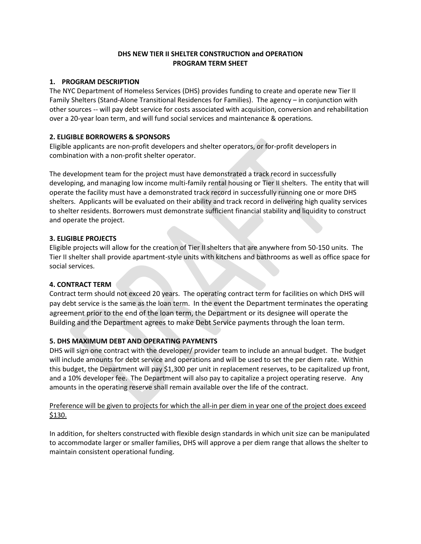## **DHS NEW TIER II SHELTER CONSTRUCTION and OPERATION PROGRAM TERM SHEET**

## **1. PROGRAM DESCRIPTION**

The NYC Department of Homeless Services (DHS) provides funding to create and operate new Tier II Family Shelters (Stand-Alone Transitional Residences for Families). The agency – in conjunction with other sources -- will pay debt service for costs associated with acquisition, conversion and rehabilitation over a 20-year loan term, and will fund social services and maintenance & operations.

# **2. ELIGIBLE BORROWERS & SPONSORS**

Eligible applicants are non-profit developers and shelter operators, or for-profit developers in combination with a non-profit shelter operator.

The development team for the project must have demonstrated a track record in successfully developing, and managing low income multi-family rental housing or Tier II shelters. The entity that will operate the facility must have a demonstrated track record in successfully running one or more DHS shelters. Applicants will be evaluated on their ability and track record in delivering high quality services to shelter residents. Borrowers must demonstrate sufficient financial stability and liquidity to construct and operate the project.

## **3. ELIGIBLE PROJECTS**

Eligible projects will allow for the creation of Tier II shelters that are anywhere from 50-150 units. The Tier II shelter shall provide apartment-style units with kitchens and bathrooms as well as office space for social services.

# **4. CONTRACT TERM**

Contract term should not exceed 20 years. The operating contract term for facilities on which DHS will pay debt service is the same as the loan term. In the event the Department terminates the operating agreement prior to the end of the loan term, the Department or its designee will operate the Building and the Department agrees to make Debt Service payments through the loan term.

# **5. DHS MAXIMUM DEBT AND OPERATING PAYMENTS**

DHS will sign one contract with the developer/ provider team to include an annual budget. The budget will include amounts for debt service and operations and will be used to set the per diem rate. Within this budget, the Department will pay \$1,300 per unit in replacement reserves, to be capitalized up front, and a 10% developer fee. The Department will also pay to capitalize a project operating reserve. Any amounts in the operating reserve shall remain available over the life of the contract.

# Preference will be given to projects for which the all-in per diem in year one of the project does exceed \$130.

In addition, for shelters constructed with flexible design standards in which unit size can be manipulated to accommodate larger or smaller families, DHS will approve a per diem range that allows the shelter to maintain consistent operational funding.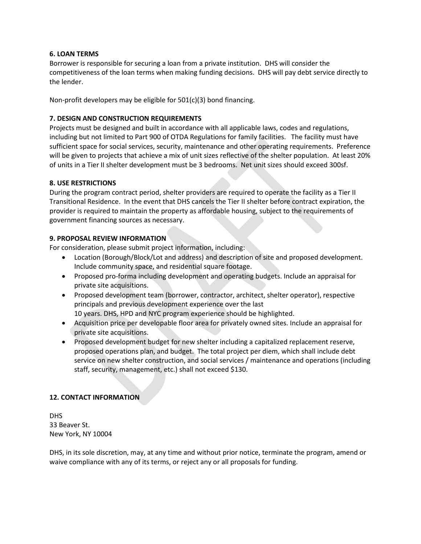## **6. LOAN TERMS**

Borrower is responsible for securing a loan from a private institution. DHS will consider the competitiveness of the loan terms when making funding decisions. DHS will pay debt service directly to the lender.

Non-profit developers may be eligible for 501(c)(3) bond financing.

# **7. DESIGN AND CONSTRUCTION REQUIREMENTS**

Projects must be designed and built in accordance with all applicable laws, codes and regulations, including but not limited to Part 900 of OTDA Regulations for family facilities. The facility must have sufficient space for social services, security, maintenance and other operating requirements. Preference will be given to projects that achieve a mix of unit sizes reflective of the shelter population. At least 20% of units in a Tier II shelter development must be 3 bedrooms. Net unit sizes should exceed 300sf.

# **8. USE RESTRICTIONS**

During the program contract period, shelter providers are required to operate the facility as a Tier II Transitional Residence. In the event that DHS cancels the Tier II shelter before contract expiration, the provider is required to maintain the property as affordable housing, subject to the requirements of government financing sources as necessary.

## **9. PROPOSAL REVIEW INFORMATION**

For consideration, please submit project information, including:

- Location (Borough/Block/Lot and address) and description of site and proposed development. Include community space, and residential square footage.
- Proposed pro-forma including development and operating budgets. Include an appraisal for private site acquisitions.
- Proposed development team (borrower, contractor, architect, shelter operator), respective principals and previous development experience over the last 10 years. DHS, HPD and NYC program experience should be highlighted.
- Acquisition price per developable floor area for privately owned sites. Include an appraisal for private site acquisitions.
- Proposed development budget for new shelter including a capitalized replacement reserve, proposed operations plan, and budget. The total project per diem, which shall include debt service on new shelter construction, and social services / maintenance and operations (including staff, security, management, etc.) shall not exceed \$130.

## **12. CONTACT INFORMATION**

DHS 33 Beaver St. New York, NY 10004

DHS, in its sole discretion, may, at any time and without prior notice, terminate the program, amend or waive compliance with any of its terms, or reject any or all proposals for funding.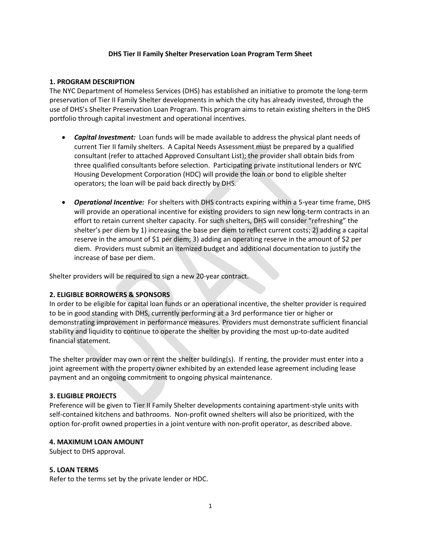#### **DHS Tier II Family Shelter Preservation Loan Program Term Sheet**

#### **1. PROGRAM DESCRIPTION**

The NYC Department of Homeless Services (DHS) has established an initiative to promote the long-term preservation of Tier II Family Shelter developments in which the city has already invested, through the use of DHS's Shelter Preservation Loan Program. This program aims to retain existing shelters in the DHS portfolio through capital investment and operational incentives.

- *Capital Investment:* Loan funds will be made available to address the physical plant needs of current Tier II family shelters. A Capital Needs Assessment must be prepared by a qualified consultant (refer to attached Approved Consultant List); the provider shall obtain bids from three qualified consultants before selection. Participating private institutional lenders or NYC Housing Development Corporation (HDC) will provide the loan or bond to eligible shelter operators; the loan will be paid back directly by DHS.
- *Operational Incentive:* For shelters with DHS contracts expiring within a 5-year time frame, DHS will provide an operational incentive for existing providers to sign new long-term contracts in an effort to retain current shelter capacity. For such shelters, DHS will consider "refreshing" the shelter's per diem by 1) increasing the base per diem to reflect current costs; 2) adding a capital reserve in the amount of \$1 per diem; 3) adding an operating reserve in the amount of \$2 per diem. Providers must submit an itemized budget and additional documentation to justify the increase of base per diem.

Shelter providers will be required to sign a new 20-year contract.

## **2. ELIGIBLE BORROWERS & SPONSORS**

In order to be eligible for capital loan funds or an operational incentive, the shelter provider is required to be in good standing with DHS, currently performing at a 3rd performance tier or higher or demonstrating improvement in performance measures. Providers must demonstrate sufficient financial stability and liquidity to continue to operate the shelter by providing the most up-to-date audited financial statement.

The shelter provider may own or rent the shelter building(s). If renting, the provider must enter into a joint agreement with the property owner exhibited by an extended lease agreement including lease payment and an ongoing commitment to ongoing physical maintenance.

## **3. ELIGIBLE PROJECTS**

Preference will be given to Tier II Family Shelter developments containing apartment-style units with self-contained kitchens and bathrooms. Non-profit owned shelters will also be prioritized, with the option for-profit owned properties in a joint venture with non-profit operator, as described above.

## **4. MAXIMUM LOAN AMOUNT**

Subject to DHS approval.

#### **5. LOAN TERMS**

Refer to the terms set by the private lender or HDC.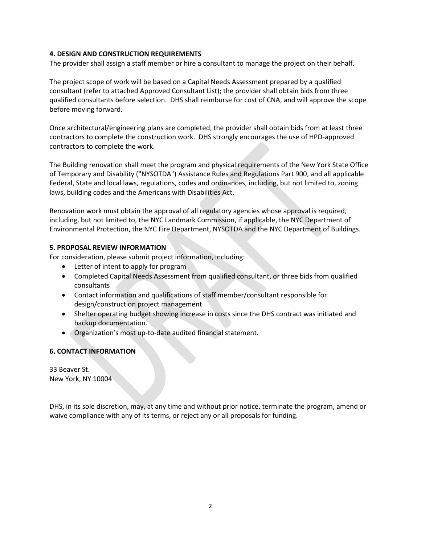## **4. DESIGN AND CONSTRUCTION REQUIREMENTS**

The provider shall assign a staff member or hire a consultant to manage the project on their behalf.

The project scope of work will be based on a Capital Needs Assessment prepared by a qualified consultant (refer to attached Approved Consultant List); the provider shall obtain bids from three qualified consultants before selection. DHS shall reimburse for cost of CNA, and will approve the scope before moving forward.

Once architectural/engineering plans are completed, the provider shall obtain bids from at least three contractors to complete the construction work. DHS strongly encourages the use of HPD-approved contractors to complete the work.

The Building renovation shall meet the program and physical requirements of the New York State Office of Temporary and Disability ("NYSOTDA") Assistance Rules and Regulations Part 900, and all applicable Federal, State and local laws, regulations, codes and ordinances, including, but not limited to, zoning laws, building codes and the Americans with Disabilities Act.

Renovation work must obtain the approval of all regulatory agencies whose approval is required, including, but not limited to, the NYC Landmark Commission, if applicable, the NYC Department of Environmental Protection, the NYC Fire Department, NYSOTDA and the NYC Department of Buildings.

## **5. PROPOSAL REVIEW INFORMATION**

For consideration, please submit project information, including:

- Letter of intent to apply for program
- Completed Capital Needs Assessment from qualified consultant, or three bids from qualified consultants
- Contact information and qualifications of staff member/consultant responsible for design/construction project management
- Shelter operating budget showing increase in costs since the DHS contract was initiated and backup documentation.
- Organization's most up-to-date audited financial statement.

# **6. CONTACT INFORMATION**

33 Beaver St. New York, NY 10004

DHS, in its sole discretion, may, at any time and without prior notice, terminate the program, amend or waive compliance with any of its terms, or reject any or all proposals for funding.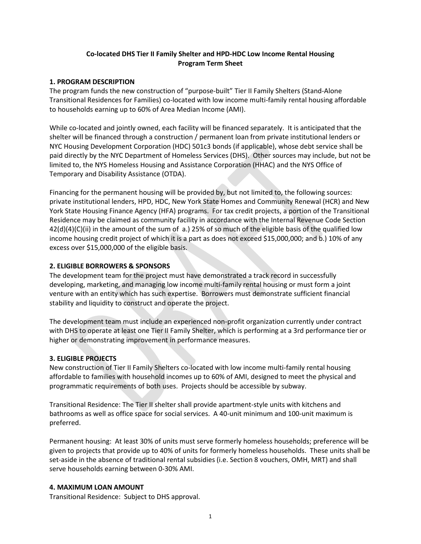# **Co-located DHS Tier II Family Shelter and HPD-HDC Low Income Rental Housing Program Term Sheet**

## **1. PROGRAM DESCRIPTION**

The program funds the new construction of "purpose-built" Tier II Family Shelters (Stand-Alone Transitional Residences for Families) co-located with low income multi-family rental housing affordable to households earning up to 60% of Area Median Income (AMI).

While co-located and jointly owned, each facility will be financed separately. It is anticipated that the shelter will be financed through a construction / permanent loan from private institutional lenders or NYC Housing Development Corporation (HDC) 501c3 bonds (if applicable), whose debt service shall be paid directly by the NYC Department of Homeless Services (DHS). Other sources may include, but not be limited to, the NYS Homeless Housing and Assistance Corporation (HHAC) and the NYS Office of Temporary and Disability Assistance (OTDA).

Financing for the permanent housing will be provided by, but not limited to, the following sources: private institutional lenders, HPD, HDC, New York State Homes and Community Renewal (HCR) and New York State Housing Finance Agency (HFA) programs. For tax credit projects, a portion of the Transitional Residence may be claimed as community facility in accordance with the Internal Revenue Code Section 42(d)(4)(C)(ii) in the amount of the sum of a.) 25% of so much of the eligible basis of the qualified low income housing credit project of which it is a part as does not exceed \$15,000,000; and b.) 10% of any excess over \$15,000,000 of the eligible basis.

## **2. ELIGIBLE BORROWERS & SPONSORS**

The development team for the project must have demonstrated a track record in successfully developing, marketing, and managing low income multi-family rental housing or must form a joint venture with an entity which has such expertise. Borrowers must demonstrate sufficient financial stability and liquidity to construct and operate the project.

The development team must include an experienced non-profit organization currently under contract with DHS to operate at least one Tier II Family Shelter, which is performing at a 3rd performance tier or higher or demonstrating improvement in performance measures.

## **3. ELIGIBLE PROJECTS**

New construction of Tier II Family Shelters co-located with low income multi-family rental housing affordable to families with household incomes up to 60% of AMI, designed to meet the physical and programmatic requirements of both uses. Projects should be accessible by subway.

Transitional Residence: The Tier II shelter shall provide apartment-style units with kitchens and bathrooms as well as office space for social services. A 40-unit minimum and 100-unit maximum is preferred.

Permanent housing: At least 30% of units must serve formerly homeless households; preference will be given to projects that provide up to 40% of units for formerly homeless households. These units shall be set-aside in the absence of traditional rental subsidies (i.e. Section 8 vouchers, OMH, MRT) and shall serve households earning between 0-30% AMI.

## **4. MAXIMUM LOAN AMOUNT**

Transitional Residence: Subject to DHS approval.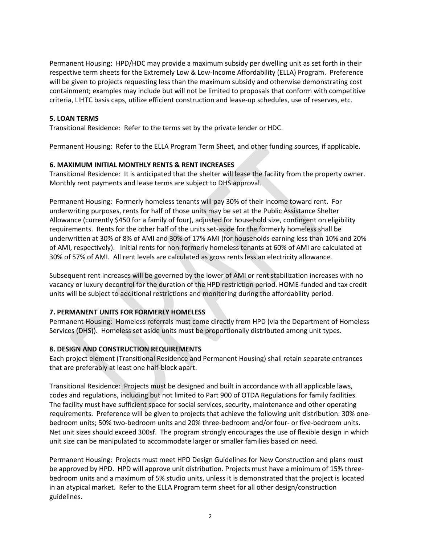Permanent Housing: HPD/HDC may provide a maximum subsidy per dwelling unit as set forth in their respective term sheets for the Extremely Low & Low-Income Affordability (ELLA) Program. Preference will be given to projects requesting less than the maximum subsidy and otherwise demonstrating cost containment; examples may include but will not be limited to proposals that conform with competitive criteria, LIHTC basis caps, utilize efficient construction and lease-up schedules, use of reserves, etc.

## **5. LOAN TERMS**

Transitional Residence: Refer to the terms set by the private lender or HDC.

Permanent Housing: Refer to the ELLA Program Term Sheet, and other funding sources, if applicable.

## **6. MAXIMUM INITIAL MONTHLY RENTS & RENT INCREASES**

Transitional Residence: It is anticipated that the shelter will lease the facility from the property owner. Monthly rent payments and lease terms are subject to DHS approval.

Permanent Housing: Formerly homeless tenants will pay 30% of their income toward rent. For underwriting purposes, rents for half of those units may be set at the Public Assistance Shelter Allowance (currently \$450 for a family of four), adjusted for household size, contingent on eligibility requirements. Rents for the other half of the units set-aside for the formerly homeless shall be underwritten at 30% of 8% of AMI and 30% of 17% AMI (for households earning less than 10% and 20% of AMI, respectively). Initial rents for non-formerly homeless tenants at 60% of AMI are calculated at 30% of 57% of AMI. All rent levels are calculated as gross rents less an electricity allowance.

Subsequent rent increases will be governed by the lower of AMI or rent stabilization increases with no vacancy or luxury decontrol for the duration of the HPD restriction period. HOME-funded and tax credit units will be subject to additional restrictions and monitoring during the affordability period.

# **7. PERMANENT UNITS FOR FORMERLY HOMELESS**

Permanent Housing: Homeless referrals must come directly from HPD (via the Department of Homeless Services (DHS)). Homeless set aside units must be proportionally distributed among unit types.

# **8. DESIGN AND CONSTRUCTION REQUIREMENTS**

Each project element (Transitional Residence and Permanent Housing) shall retain separate entrances that are preferably at least one half-block apart.

Transitional Residence: Projects must be designed and built in accordance with all applicable laws, codes and regulations, including but not limited to Part 900 of OTDA Regulations for family facilities. The facility must have sufficient space for social services, security, maintenance and other operating requirements. Preference will be given to projects that achieve the following unit distribution: 30% onebedroom units; 50% two-bedroom units and 20% three-bedroom and/or four- or five-bedroom units. Net unit sizes should exceed 300sf. The program strongly encourages the use of flexible design in which unit size can be manipulated to accommodate larger or smaller families based on need.

Permanent Housing: Projects must meet HPD Design Guidelines for New Construction and plans must be approved by HPD. HPD will approve unit distribution. Projects must have a minimum of 15% threebedroom units and a maximum of 5% studio units, unless it is demonstrated that the project is located in an atypical market. Refer to the ELLA Program term sheet for all other design/construction guidelines.